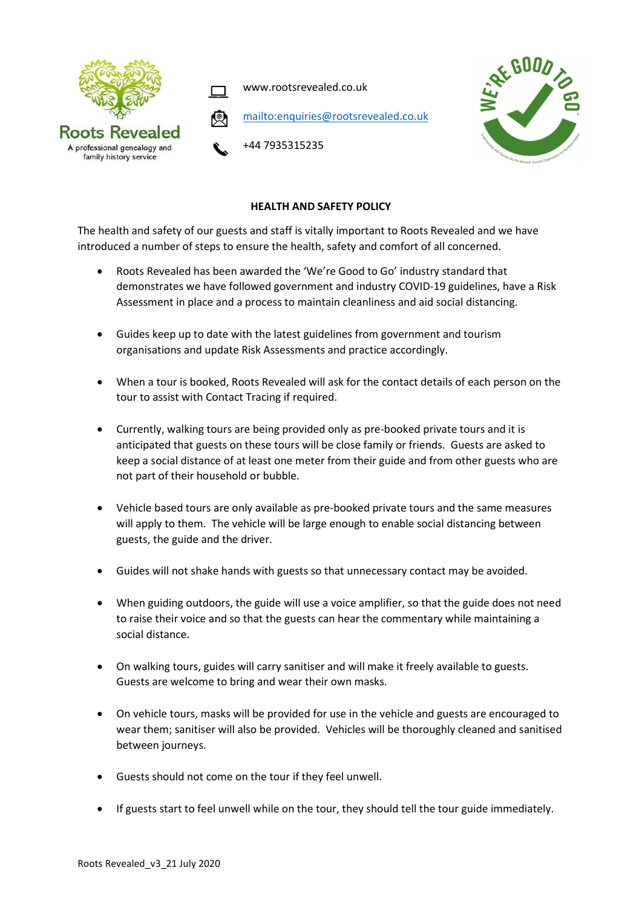

www.rootsrevealed.co.uk





## +44 7935315235

## HEALTH AND SAFETY POLICY

The health and safety of our guests and staff is vitally important to Roots Revealed and we have introduced a number of steps to ensure the health, safety and comfort of all concerned.

- Roots Revealed has been awarded the 'We're Good to Go' industry standard that demonstrates we have followed government and industry COVID-19 guidelines, have a Risk Assessment in place and a process to maintain cleanliness and aid social distancing.
- Guides keep up to date with the latest guidelines from government and tourism organisations and update Risk Assessments and practice accordingly.
- When a tour is booked, Roots Revealed will ask for the contact details of each person on the tour to assist with Contact Tracing if required.
- Currently, walking tours are being provided only as pre-booked private tours and it is anticipated that guests on these tours will be close family or friends. Guests are asked to keep a social distance of at least one meter from their guide and from other guests who are not part of their household or bubble.
- Vehicle based tours are only available as pre-booked private tours and the same measures will apply to them. The vehicle will be large enough to enable social distancing between guests, the guide and the driver.
- Guides will not shake hands with guests so that unnecessary contact may be avoided.
- When guiding outdoors, the guide will use a voice amplifier, so that the guide does not need to raise their voice and so that the guests can hear the commentary while maintaining a social distance.
- On walking tours, guides will carry sanitiser and will make it freely available to guests. Guests are welcome to bring and wear their own masks.
- On vehicle tours, masks will be provided for use in the vehicle and guests are encouraged to wear them; sanitiser will also be provided. Vehicles will be thoroughly cleaned and sanitised between journeys.
- Guests should not come on the tour if they feel unwell.
- If guests start to feel unwell while on the tour, they should tell the tour guide immediately.